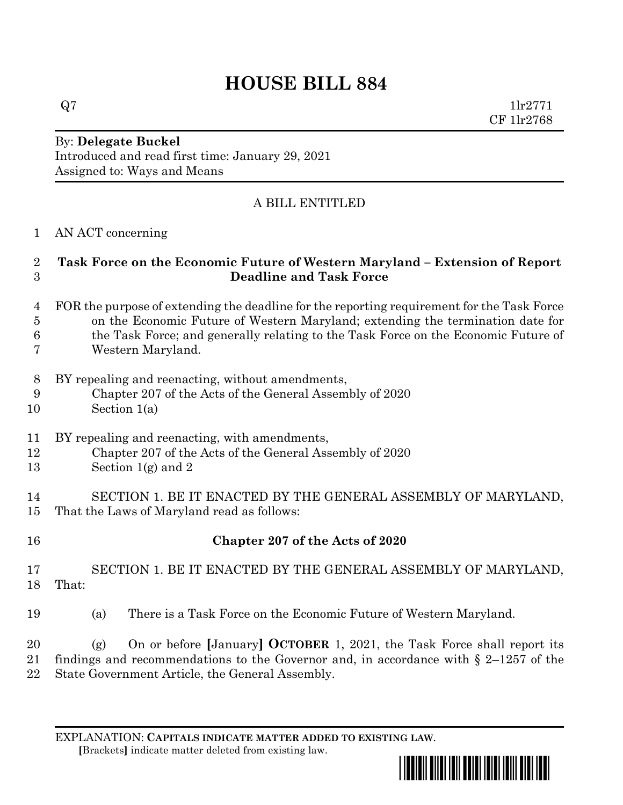# **HOUSE BILL 884**

 $Q7$  1lr2771 CF 1lr2768

#### By: **Delegate Buckel** Introduced and read first time: January 29, 2021 Assigned to: Ways and Means

## A BILL ENTITLED

#### AN ACT concerning

### **Task Force on the Economic Future of Western Maryland – Extension of Report Deadline and Task Force**

- FOR the purpose of extending the deadline for the reporting requirement for the Task Force on the Economic Future of Western Maryland; extending the termination date for
- the Task Force; and generally relating to the Task Force on the Economic Future of
- Western Maryland.
- BY repealing and reenacting, without amendments,
- Chapter 207 of the Acts of the General Assembly of 2020
- Section 1(a)
- BY repealing and reenacting, with amendments,
- Chapter 207 of the Acts of the General Assembly of 2020
- 13 Section  $1(g)$  and 2

 SECTION 1. BE IT ENACTED BY THE GENERAL ASSEMBLY OF MARYLAND, That the Laws of Maryland read as follows:

**Chapter 207 of the Acts of 2020**

 SECTION 1. BE IT ENACTED BY THE GENERAL ASSEMBLY OF MARYLAND, That:

(a) There is a Task Force on the Economic Future of Western Maryland.

 (g) On or before **[**January**] OCTOBER** 1, 2021, the Task Force shall report its findings and recommendations to the Governor and, in accordance with § 2–1257 of the State Government Article, the General Assembly.